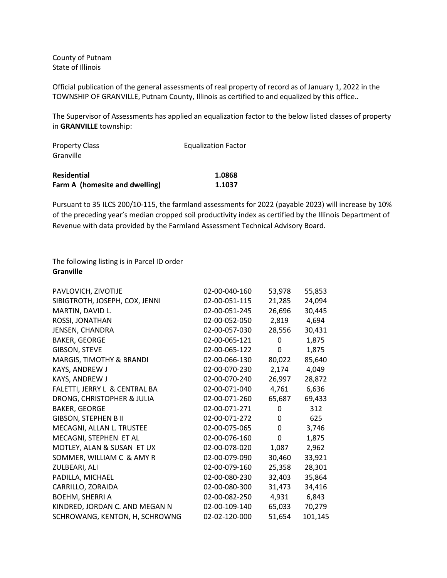County of Putnam State of Illinois

Official publication of the general assessments of real property of record as of January 1, 2022 in the TOWNSHIP OF GRANVILLE, Putnam County, Illinois as certified to and equalized by this office..

The Supervisor of Assessments has applied an equalization factor to the below listed classes of property in **GRANVILLE** township:

| <b>Property Class</b>          | <b>Equalization Factor</b> |  |
|--------------------------------|----------------------------|--|
| Granville                      |                            |  |
| <b>Residential</b>             | 1.0868                     |  |
| Farm A (homesite and dwelling) | 1.1037                     |  |

Pursuant to 35 ILCS 200/10-115, the farmland assessments for 2022 (payable 2023) will increase by 10% of the preceding year's median cropped soil productivity index as certified by the Illinois Department of Revenue with data provided by the Farmland Assessment Technical Advisory Board.

## The following listing is in Parcel ID order **Granville**

| PAVLOVICH, ZIVOTIJE            | 02-00-040-160 | 53,978 | 55,853  |
|--------------------------------|---------------|--------|---------|
| SIBIGTROTH, JOSEPH, COX, JENNI | 02-00-051-115 | 21,285 | 24,094  |
| MARTIN, DAVID L.               | 02-00-051-245 | 26,696 | 30,445  |
| ROSSI, JONATHAN                | 02-00-052-050 | 2,819  | 4,694   |
| JENSEN, CHANDRA                | 02-00-057-030 | 28,556 | 30,431  |
| <b>BAKER, GEORGE</b>           | 02-00-065-121 | 0      | 1,875   |
| <b>GIBSON, STEVE</b>           | 02-00-065-122 | 0      | 1,875   |
| MARGIS, TIMOTHY & BRANDI       | 02-00-066-130 | 80,022 | 85,640  |
| KAYS, ANDREW J                 | 02-00-070-230 | 2,174  | 4,049   |
| KAYS, ANDREW J                 | 02-00-070-240 | 26,997 | 28,872  |
| FALETTI, JERRY L & CENTRAL BA  | 02-00-071-040 | 4,761  | 6,636   |
| DRONG, CHRISTOPHER & JULIA     | 02-00-071-260 | 65,687 | 69,433  |
| <b>BAKER, GEORGE</b>           | 02-00-071-271 | 0      | 312     |
| <b>GIBSON, STEPHEN B II</b>    | 02-00-071-272 | 0      | 625     |
| MECAGNI, ALLAN L. TRUSTEE      | 02-00-075-065 | 0      | 3,746   |
| MECAGNI, STEPHEN ET AL         | 02-00-076-160 | 0      | 1,875   |
| MOTLEY, ALAN & SUSAN ET UX     | 02-00-078-020 | 1,087  | 2,962   |
| SOMMER, WILLIAM C & AMY R      | 02-00-079-090 | 30,460 | 33,921  |
| ZULBEARI, ALI                  | 02-00-079-160 | 25,358 | 28,301  |
| PADILLA, MICHAEL               | 02-00-080-230 | 32,403 | 35,864  |
| CARRILLO, ZORAIDA              | 02-00-080-300 | 31,473 | 34,416  |
| <b>BOEHM, SHERRI A</b>         | 02-00-082-250 | 4,931  | 6,843   |
| KINDRED, JORDAN C. AND MEGAN N | 02-00-109-140 | 65,033 | 70,279  |
| SCHROWANG, KENTON, H, SCHROWNG | 02-02-120-000 | 51,654 | 101,145 |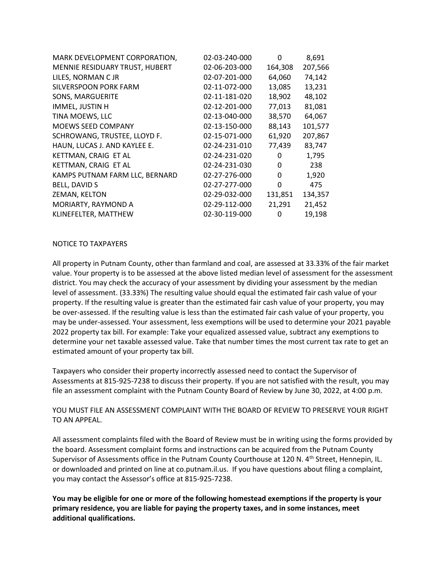| MARK DEVELOPMENT CORPORATION,  | 02-03-240-000 | 0       | 8,691   |
|--------------------------------|---------------|---------|---------|
| MENNIE RESIDUARY TRUST, HUBERT | 02-06-203-000 | 164,308 | 207,566 |
| LILES, NORMAN C JR             | 02-07-201-000 | 64,060  | 74,142  |
| <b>SILVERSPOON PORK FARM</b>   | 02-11-072-000 | 13,085  | 13,231  |
| <b>SONS, MARGUERITE</b>        | 02-11-181-020 | 18,902  | 48,102  |
| IMMEL, JUSTIN H                | 02-12-201-000 | 77,013  | 81,081  |
| TINA MOEWS, LLC                | 02-13-040-000 | 38,570  | 64,067  |
| <b>MOEWS SEED COMPANY</b>      | 02-13-150-000 | 88,143  | 101,577 |
| SCHROWANG, TRUSTEE, LLOYD F.   | 02-15-071-000 | 61,920  | 207,867 |
| HAUN, LUCAS J. AND KAYLEE E.   | 02-24-231-010 | 77,439  | 83,747  |
| KETTMAN, CRAIG ET AL           | 02-24-231-020 | 0       | 1,795   |
| KETTMAN, CRAIG ET AL           | 02-24-231-030 | 0       | 238     |
| KAMPS PUTNAM FARM LLC, BERNARD | 02-27-276-000 | 0       | 1,920   |
| <b>BELL, DAVID S</b>           | 02-27-277-000 | 0       | 475     |
| ZEMAN, KELTON                  | 02-29-032-000 | 131,851 | 134,357 |
| MORIARTY, RAYMOND A            | 02-29-112-000 | 21,291  | 21,452  |
| KLINEFELTER, MATTHEW           | 02-30-119-000 | 0       | 19,198  |

## NOTICE TO TAXPAYERS

All property in Putnam County, other than farmland and coal, are assessed at 33.33% of the fair market value. Your property is to be assessed at the above listed median level of assessment for the assessment district. You may check the accuracy of your assessment by dividing your assessment by the median level of assessment. (33.33%) The resulting value should equal the estimated fair cash value of your property. If the resulting value is greater than the estimated fair cash value of your property, you may be over-assessed. If the resulting value is less than the estimated fair cash value of your property, you may be under-assessed. Your assessment, less exemptions will be used to determine your 2021 payable 2022 property tax bill. For example: Take your equalized assessed value, subtract any exemptions to determine your net taxable assessed value. Take that number times the most current tax rate to get an estimated amount of your property tax bill.

Taxpayers who consider their property incorrectly assessed need to contact the Supervisor of Assessments at 815-925-7238 to discuss their property. If you are not satisfied with the result, you may file an assessment complaint with the Putnam County Board of Review by June 30, 2022, at 4:00 p.m.

## YOU MUST FILE AN ASSESSMENT COMPLAINT WITH THE BOARD OF REVIEW TO PRESERVE YOUR RIGHT TO AN APPEAL.

All assessment complaints filed with the Board of Review must be in writing using the forms provided by the board. Assessment complaint forms and instructions can be acquired from the Putnam County Supervisor of Assessments office in the Putnam County Courthouse at 120 N. 4<sup>th</sup> Street, Hennepin, IL. or downloaded and printed on line at co.putnam.il.us. If you have questions about filing a complaint, you may contact the Assessor's office at 815-925-7238.

**You may be eligible for one or more of the following homestead exemptions if the property is your primary residence, you are liable for paying the property taxes, and in some instances, meet additional qualifications.**